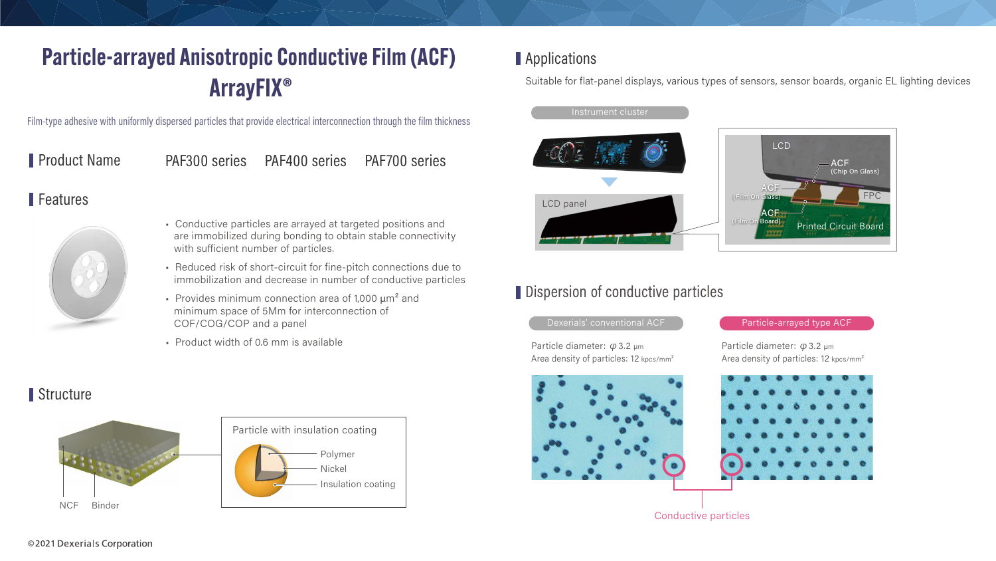

## Dispersion of conductive particles



## Applications

Suitable for flat-panel displays, various types of sensors, sensor boards, organic EL lighting devices



Conductive particles

# Particle-arrayed Anisotropic Conductive Film (ACF) ArrayFIX®

Film-type adhesive with uniformly dispersed particles that provide electrical interconnection through the film thickness

Product Name PAF300 series PAF400 series PAF700 series

### Features



- Conductive particles are arrayed at targeted positions and are immobilized during bonding to obtain stable connectivity with sufficient number of particles.
- Reduced risk of short-circuit for fine-pitch connections due to immobilization and decrease in number of conductive particles
- Provides minimum connection area of 1,000  $\mu$ m<sup>2</sup> and minimum space of 5Mm for interconnection of COF/COG/COP and a panel
- Product width of 0.6 mm is available

### Structure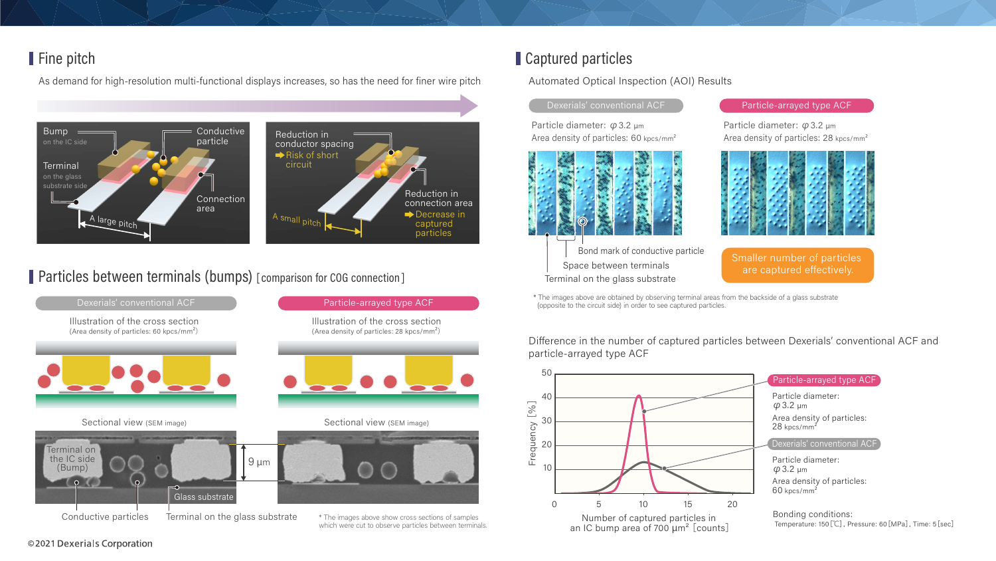## Fine pitch

As demand for high-resolution multi-functional displays increases, so has the need for finer wire pitch



Particles between terminals (bumps) [comparison for COG connection]



### ©2021 Dexerials Corporation

## Captured particles

### **Automated Optical Inspection (AOI) Results**

### Dexerials' conventional ACF

Particle diameter:  $\varphi$  3.2 µm Area density of particles: 60 kpcs/mm<sup>2</sup>



Bond mark of conductive particle Space between terminals Terminal on the glass substrate

### Particle-arrayed type ACF

Particle diameter:  $\varphi$  3.2 µm Area density of particles: 28 kpcs/mm<sup>2</sup>



Smaller number of particles are captured effectively.

\* The images above are obtained by observing terminal areas from the backside of a glass substrate (opposite to the circuit side) in order to see captured particles.

Difference in the number of captured particles between Dexerials' conventional ACF and particle-arrayed type ACF



which were cut to observe particles between terminals.